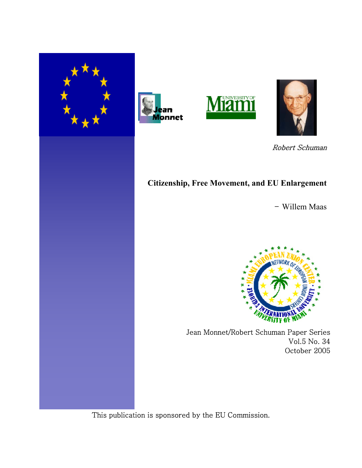







Robert Schuman

# **Citizenship, Free Movement, and EU Enlargement**

- Willem Maas



Jean Monnet/Robert Schuman Paper Series Vol.5 No. 34 October 2005

This publication is sponsored by the EU Commission.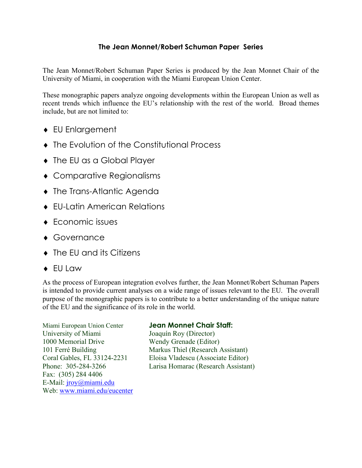## **The Jean Monnet/Robert Schuman Paper Series**

The Jean Monnet/Robert Schuman Paper Series is produced by the Jean Monnet Chair of the University of Miami, in cooperation with the Miami European Union Center.

These monographic papers analyze ongoing developments within the European Union as well as recent trends which influence the EU's relationship with the rest of the world. Broad themes include, but are not limited to:

- ♦ EU Enlargement
- ♦ The Evolution of the Constitutional Process
- ♦ The EU as a Global Player
- ♦ Comparative Regionalisms
- ♦ The Trans-Atlantic Agenda
- ♦ EU-Latin American Relations
- ♦ Economic issues
- ♦ Governance
- ♦ The EU and its Citizens
- ♦ EU Law

As the process of European integration evolves further, the Jean Monnet/Robert Schuman Papers is intended to provide current analyses on a wide range of issues relevant to the EU. The overall purpose of the monographic papers is to contribute to a better understanding of the unique nature of the EU and the significance of its role in the world.

Miami European Union Center **Jean Monnet Chair Staff:** University of Miami Joaquín Roy (Director) 1000 Memorial Drive Wendy Grenade (Editor) Fax: (305) 284 4406 E-Mail: [jroy@miami.edu](mailto:jroy@miami.edu)  Web: [www.miami.edu/eucenter](http://www.miami.edu/eucenter)

101 Ferré Building Markus Thiel (Research Assistant) Coral Gables, FL 33124-2231 Eloisa Vladescu (Associate Editor) Phone: 305-284-3266 Larisa Homarac (Research Assistant)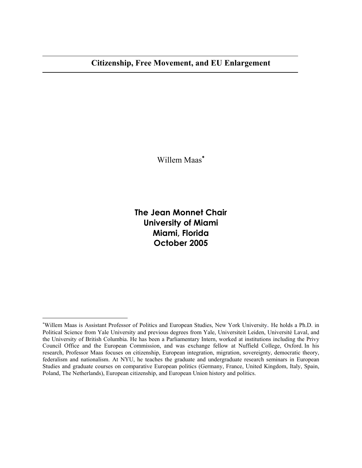$\overline{a}$ 

 $\overline{\phantom{a}}$ 

Willem Maas<sup>\*</sup>

**The Jean Monnet Chair University of Miami Miami, Florida October 2005**

<span id="page-2-0"></span><sup>∗</sup> Willem Maas is Assistant Professor of Politics and European Studies, New York University. He holds a Ph.D. in [Political Science](http://www.yale.edu/polisci/) from Yale [University](http://www.yale.edu/) and previous degrees from Yale, [Universiteit Leiden,](http://www.leiden.edu/) [Université Laval, and](http://www.ulaval.ca/)  the [University of British Columbia](http://www.ubc.ca/). He has been a [Parliamentary Intern,](http://www.pip-psp.org/) worked at institutions including the [Privy](http://www.pco-bcp.gc.ca/aia/) [Council Office](http://www.pco-bcp.gc.ca/aia/) and the [European Commission](http://europa.eu.int/comm/dgs/internal_market/index_en.htm), and was exchange fellow at [Nuffield College,](http://www.nuff.ox.ac.uk/) [Oxford.](http://www.ox.ac.uk/) In his [research](http://homepages.nyu.edu/~wm31/research.htm), Professor Maas focuses on citizenship, European integration, migration, sovereignty, democratic theory, federalism and nationalism. At NYU, he [teaches](http://homepages.nyu.edu/~wm31/teaching.htm) the graduate and undergraduate research seminars in European Studies and graduate courses on comparative European politics (Germany, France, United Kingdom, Italy, Spain, Poland, The Netherlands), European citizenship, and European Union history and politics.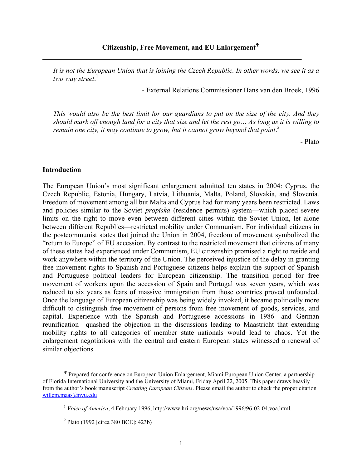*It is not the European Union that is joining the Czech Republic. In other words, we see it as a two way street*. [1](#page-3-1)

- External Relations Commissioner Hans van den Broek, 1996

*This would also be the best limit for our guardians to put on the size of the city. And they should mark off enough land for a city that size and let the rest go… As long as it is willing to* remain one city, it may continue to grow, but it cannot grow beyond that point.<sup>[2](#page-3-2)</sup>

- Plato

#### **Introduction**

<span id="page-3-0"></span> $\overline{a}$ 

The European Union's most significant enlargement admitted ten states in 2004: Cyprus, the Czech Republic, Estonia, Hungary, Latvia, Lithuania, Malta, Poland, Slovakia, and Slovenia. Freedom of movement among all but Malta and Cyprus had for many years been restricted. Laws and policies similar to the Soviet *propiska* (residence permits) system—which placed severe limits on the right to move even between different cities within the Soviet Union, let alone between different Republics—restricted mobility under Communism. For individual citizens in the postcommunist states that joined the Union in 2004, freedom of movement symbolized the "return to Europe" of EU accession. By contrast to the restricted movement that citizens of many of these states had experienced under Communism, EU citizenship promised a right to reside and work anywhere within the territory of the Union. The perceived injustice of the delay in granting free movement rights to Spanish and Portuguese citizens helps explain the support of Spanish and Portuguese political leaders for European citizenship. The transition period for free movement of workers upon the accession of Spain and Portugal was seven years, which was reduced to six years as fears of massive immigration from those countries proved unfounded. Once the language of European citizenship was being widely invoked, it became politically more difficult to distinguish free movement of persons from free movement of goods, services, and capital. Experience with the Spanish and Portuguese accessions in 1986—and German reunification—quashed the objection in the discussions leading to Maastricht that extending mobility rights to all categories of member state nationals would lead to chaos. Yet the enlargement negotiations with the central and eastern European states witnessed a renewal of similar objections.

<sup>Ψ</sup> Prepared for conference on European Union Enlargement, Miami European Union Center, a partnership of Florida International University and the University of Miami, Friday April 22, 2005. This paper draws heavily from the author's book manuscript *Creating European Citizens*. Please email the author to check the proper citation [willem.maas@nyu.edu](mailto:willem.maas@nyu.edu)

<span id="page-3-2"></span><span id="page-3-1"></span><sup>&</sup>lt;sup>1</sup> *Voice of America*, 4 February 1996, http://www.hri.org/news/usa/voa/1996/96-02-04.voa.html.

 <sup>2</sup>  $^{2}$  Plato (1992 [circa 380 BCE]: 423b)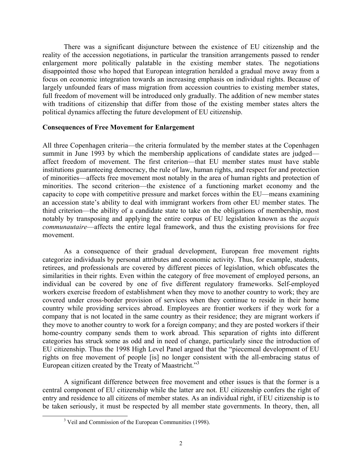There was a significant disjuncture between the existence of EU citizenship and the reality of the accession negotiations, in particular the transition arrangements passed to render enlargement more politically palatable in the existing member states. The negotiations disappointed those who hoped that European integration heralded a gradual move away from a focus on economic integration towards an increasing emphasis on individual rights. Because of largely unfounded fears of mass migration from accession countries to existing member states, full freedom of movement will be introduced only gradually. The addition of new member states with traditions of citizenship that differ from those of the existing member states alters the political dynamics affecting the future development of EU citizenship.

### **Consequences of Free Movement for Enlargement**

All three Copenhagen criteria—the criteria formulated by the member states at the Copenhagen summit in June 1993 by which the membership applications of candidate states are judged affect freedom of movement. The first criterion—that EU member states must have stable institutions guaranteeing democracy, the rule of law, human rights, and respect for and protection of minorities—affects free movement most notably in the area of human rights and protection of minorities. The second criterion—the existence of a functioning market economy and the capacity to cope with competitive pressure and market forces within the EU—means examining an accession state's ability to deal with immigrant workers from other EU member states. The third criterion—the ability of a candidate state to take on the obligations of membership, most notably by transposing and applying the entire corpus of EU legislation known as the *acquis communautaire*—affects the entire legal framework, and thus the existing provisions for free movement.

As a consequence of their gradual development, European free movement rights categorize individuals by personal attributes and economic activity. Thus, for example, students, retirees, and professionals are covered by different pieces of legislation, which obfuscates the similarities in their rights. Even within the category of free movement of employed persons, an individual can be covered by one of five different regulatory frameworks. Self-employed workers exercise freedom of establishment when they move to another country to work; they are covered under cross-border provision of services when they continue to reside in their home country while providing services abroad. Employees are frontier workers if they work for a company that is not located in the same country as their residence; they are migrant workers if they move to another country to work for a foreign company; and they are posted workers if their home-country company sends them to work abroad. This separation of rights into different categories has struck some as odd and in need of change, particularly since the introduction of EU citizenship. Thus the 1998 High Level Panel argued that the "piecemeal development of EU rights on free movement of people [is] no longer consistent with the all-embracing status of European citizen created by the Treaty of Maastricht."<sup>3</sup>

A significant difference between free movement and other issues is that the former is a central component of EU citizenship while the latter are not. EU citizenship confers the right of entry and residence to all citizens of member states. As an individual right, if EU citizenship is to be taken seriously, it must be respected by all member state governments. In theory, then, all

<span id="page-4-0"></span> $\overline{\phantom{a}}$ <sup>3</sup> Veil and Commission of the European Communities (1998).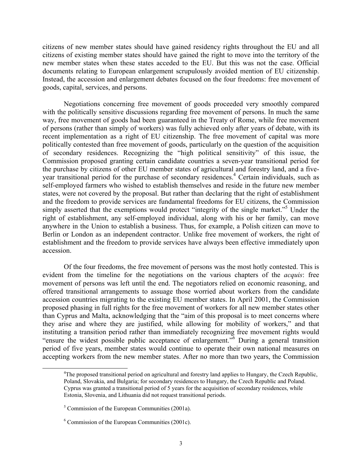citizens of new member states should have gained residency rights throughout the EU and all citizens of existing member states should have gained the right to move into the territory of the new member states when these states acceded to the EU. But this was not the case. Official documents relating to European enlargement scrupulously avoided mention of EU citizenship. Instead, the accession and enlargement debates focused on the four freedoms: free movement of goods, capital, services, and persons.

Negotiations concerning free movement of goods proceeded very smoothly compared with the politically sensitive discussions regarding free movement of persons. In much the same way, free movement of goods had been guaranteed in the Treaty of Rome, while free movement of persons (rather than simply of workers) was fully achieved only after years of debate, with its recent implementation as a right of EU citizenship. The free movement of capital was more politically contested than free movement of goods, particularly on the question of the acquisition of secondary residences. Recognizing the "high political sensitivity" of this issue, the Commission proposed granting certain candidate countries a seven-year transitional period for the purchase by citizens of other EU member states of agricultural and forestry land, and a fiveyear transitional period for the purchase of secondary residences.<sup>4</sup> Certain individuals, such as self-employed farmers who wished to establish themselves and reside in the future new member states, were not covered by the proposal. But rather than declaring that the right of establishment and the freedom to provide services are fundamental freedoms for EU citizens, the Commission simply asserted that the exemptions would protect "integrity of the single market."<sup>[5](#page-5-1)</sup> Under the right of establishment, any self-employed individual, along with his or her family, can move anywhere in the Union to establish a business. Thus, for example, a Polish citizen can move to Berlin or London as an independent contractor. Unlike free movement of workers, the right of establishment and the freedom to provide services have always been effective immediately upon accession.

Of the four freedoms, the free movement of persons was the most hotly contested. This is evident from the timeline for the negotiations on the various chapters of the *acquis*: free movement of persons was left until the end. The negotiators relied on economic reasoning, and offered transitional arrangements to assuage those worried about workers from the candidate accession countries migrating to the existing EU member states. In April 2001, the Commission proposed phasing in full rights for the free movement of workers for all new member states other than Cyprus and Malta, acknowledging that the "aim of this proposal is to meet concerns where they arise and where they are justified, while allowing for mobility of workers," and that instituting a transition period rather than immediately recognizing free movement rights would "ensure the widest possible public acceptance of enlargement." $\delta$  During a general transition period of five years, member states would continue to operate their own national measures on accepting workers from the new member states. After no more than two years, the Commission

<span id="page-5-0"></span> $\overline{a}$ <sup>4</sup>The proposed transitional period on agricultural and forestry land applies to Hungary, the Czech Republic, Poland, Slovakia, and Bulgaria; for secondary residences to Hungary, the Czech Republic and Poland. Cyprus was granted a transitional period of 5 years for the acquisition of secondary residences, while Estonia, Slovenia, and Lithuania did not request transitional periods.

<span id="page-5-1"></span> <sup>5</sup>  $5$  Commission of the European Communities (2001a).

<span id="page-5-2"></span> <sup>6</sup>  $6$  Commission of the European Communities (2001c).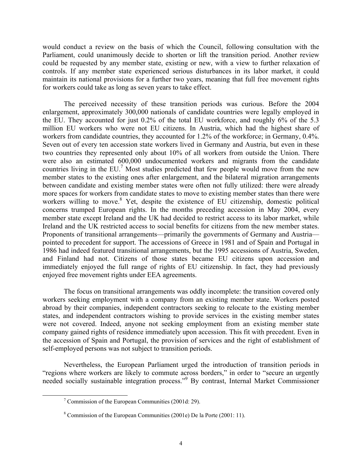would conduct a review on the basis of which the Council, following consultation with the Parliament, could unanimously decide to shorten or lift the transition period. Another review could be requested by any member state, existing or new, with a view to further relaxation of controls. If any member state experienced serious disturbances in its labor market, it could maintain its national provisions for a further two years, meaning that full free movement rights for workers could take as long as seven years to take effect.

The perceived necessity of these transition periods was curious. Before the 2004 enlargement, approximately 300,000 nationals of candidate countries were legally employed in the EU. They accounted for just 0.2% of the total EU workforce, and roughly 6% of the 5.3 million EU workers who were not EU citizens. In Austria, which had the highest share of workers from candidate countries, they accounted for 1.2% of the workforce; in Germany, 0.4%. Seven out of every ten accession state workers lived in Germany and Austria, but even in these two countries they represented only about 10% of all workers from outside the Union. There were also an estimated 600,000 undocumented workers and migrants from the candidate countries living in the EU.<sup>[7](#page-6-0)</sup> Most studies predicted that few people would move from the new member states to the existing ones after enlargement, and the bilateral migration arrangements between candidate and existing member states were often not fully utilized: there were already more spaces for workers from candidate states to move to existing member states than there were workers willing to move.<sup>[8](#page-6-1)</sup> Yet, despite the existence of EU citizenship, domestic political concerns trumped European rights. In the months preceding accession in May 2004, every member state except Ireland and the UK had decided to restrict access to its labor market, while Ireland and the UK restricted access to social benefits for citizens from the new member states. Proponents of transitional arrangements—primarily the governments of Germany and Austria pointed to precedent for support. The accessions of Greece in 1981 and of Spain and Portugal in 1986 had indeed featured transitional arrangements, but the 1995 accessions of Austria, Sweden, and Finland had not. Citizens of those states became EU citizens upon accession and immediately enjoyed the full range of rights of EU citizenship. In fact, they had previously enjoyed free movement rights under EEA agreements.

The focus on transitional arrangements was oddly incomplete: the transition covered only workers seeking employment with a company from an existing member state. Workers posted abroad by their companies, independent contractors seeking to relocate to the existing member states, and independent contractors wishing to provide services in the existing member states were not covered. Indeed, anyone not seeking employment from an existing member state company gained rights of residence immediately upon accession. This fit with precedent. Even in the accession of Spain and Portugal, the provision of services and the right of establishment of self-employed persons was not subject to transition periods.

Nevertheless, the European Parliament urged the introduction of transition periods in "regions where workers are likely to commute across borders," in order to "secure an urgently needed socially sustainable integration process."<sup>[9](#page-6-2)</sup> By contrast, Internal Market Commissioner

<span id="page-6-0"></span> <sup>7</sup>  $\sigma$  Commission of the European Communities (2001d: 29).

<span id="page-6-2"></span><span id="page-6-1"></span> <sup>8</sup> Commission of the European Communities (2001e) De la Porte (2001: 11).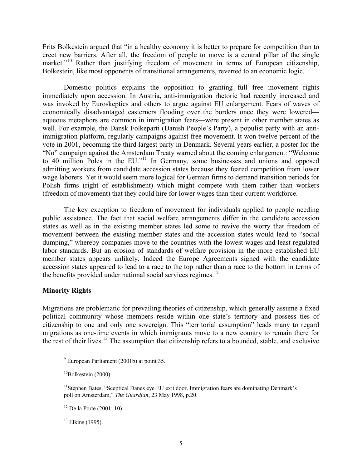Frits Bolkestein argued that "in a healthy economy it is better to prepare for competition than to erect new barriers. After all, the freedom of people to move is a central pillar of the single market."<sup>10</sup> Rather than justifying freedom of movement in terms of European citizenship, Bolkestein, like most opponents of transitional arrangements, reverted to an economic logic.

Domestic politics explains the opposition to granting full free movement rights immediately upon accession. In Austria, anti-immigration rhetoric had recently increased and was invoked by Euroskeptics and others to argue against EU enlargement. Fears of waves of economically disadvantaged easterners flooding over the borders once they were lowered aqueous metaphors are common in immigration fears—were present in other member states as well. For example, the Dansk Folkeparti (Danish People's Party), a populist party with an antiimmigration platform, regularly campaigns against free movement. It won twelve percent of the vote in 2001, becoming the third largest party in Denmark. Several years earlier, a poster for the "No" campaign against the Amsterdam Treaty warned about the coming enlargement: "Welcome to 40 million Poles in the EU."<sup>11</sup> In Germany, some businesses and unions and opposed admitting workers from candidate accession states because they feared competition from lower wage laborers. Yet it would seem more logical for German firms to demand transition periods for Polish firms (right of establishment) which might compete with them rather than workers (freedom of movement) that they could hire for lower wages than their current workforce.

The key exception to freedom of movement for individuals applied to people needing public assistance. The fact that social welfare arrangements differ in the candidate accession states as well as in the existing member states led some to revive the worry that freedom of movement between the existing member states and the accession states would lead to "social dumping," whereby companies move to the countries with the lowest wages and least regulated labor standards. But an erosion of standards of welfare provision in the more established EU member states appears unlikely. Indeed the Europe Agreements signed with the candidate accession states appeared to lead to a race to the top rather than a race to the bottom in terms of the benefits provided under national social services regimes.<sup>[12](#page-7-2)</sup>

#### **Minority Rights**

Migrations are problematic for prevailing theories of citizenship, which generally assume a fixed political community whose members reside within one state's territory and possess ties of citizenship to one and only one sovereign. This "territorial assumption" leads many to regard migrations as one-time events in which immigrants move to a new country to remain there for the rest of their lives.<sup>13</sup> The assumption that citizenship refers to a bounded, stable, and exclusive

<span id="page-7-3"></span><sup>13</sup> Elkins (1995).

 <sup>9</sup> European Parliament (2001b) at point 35.

<span id="page-7-0"></span> $10Bolkestein (2000)$ .

<span id="page-7-1"></span><sup>&</sup>lt;sup>11</sup>Stephen Bates, "Sceptical Danes eye EU exit door. Immigration fears are dominating Denmark's poll on Amsterdam," *The Guardian*, 23 May 1998, p.20.

<span id="page-7-2"></span> $12$  De la Porte (2001: 10).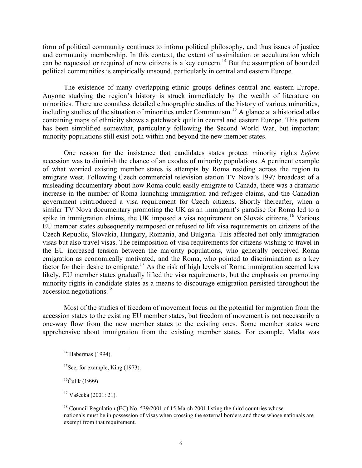form of political community continues to inform political philosophy, and thus issues of justice and community membership. In this context, the extent of assimilation or acculturation which can be requested or required of new citizens is a key concern.<sup>14</sup> But the assumption of bounded political communities is empirically unsound, particularly in central and eastern Europe.

The existence of many overlapping ethnic groups defines central and eastern Europe. Anyone studying the region's history is struck immediately by the wealth of literature on minorities. There are countless detailed ethnographic studies of the history of various minorities, including studies of the situation of minorities under Communism. [15 A](#page-8-1) glance at a historical atlas containing maps of ethnicity shows a patchwork quilt in central and eastern Europe. This pattern has been simplified somewhat, particularly following the Second World War, but important minority populations still exist both within and beyond the new member states.

One reason for the insistence that candidates states protect minority rights *before* accession was to diminish the chance of an exodus of minority populations. A pertinent example of what worried existing member states is attempts by Roma residing across the region to emigrate west. Following Czech commercial television station TV Nova's 1997 broadcast of a misleading documentary about how Roma could easily emigrate to Canada, there was a dramatic increase in the number of Roma launching immigration and refugee claims, and the Canadian government reintroduced a visa requirement for Czech citizens. Shortly thereafter, when a similar TV Nova documentary promoting the UK as an immigrant's paradise for Roma led to a spike in immigration claims, the UK imposed a visa requirement on Slovak citizens.<sup>16</sup> Various EU member states subsequently reimposed or refused to lift visa requirements on citizens of the Czech Republic, Slovakia, Hungary, Romania, and Bulgaria. This affected not only immigration visas but also travel visas. The reimposition of visa requirements for citizens wishing to travel in the EU increased tension between the majority populations, who generally perceived Roma emigration as economically motivated, and the Roma, who pointed to discrimination as a key factor for their desire to emigrate.<sup>17</sup> As the risk of high levels of Roma immigration seemed less likely, EU member states gradually lifted the visa requirements, but the emphasis on promoting minority rights in candidate states as a means to discourage emigration persisted throughout the accession negotiations.<sup>[18](#page-8-4)</sup>

Most of the studies of freedom of movement focus on the potential for migration from the accession states to the existing EU member states, but freedom of movement is not necessarily a one-way flow from the new member states to the existing ones. Some member states were apprehensive about immigration from the existing member states. For example, Malta was

<span id="page-8-2"></span> $16$ Čulík (1999)

<span id="page-8-3"></span>17 Vašecka (2001: 21).

<span id="page-8-0"></span> $14$  Habermas (1994).

<span id="page-8-1"></span><sup>&</sup>lt;sup>15</sup>See, for example, King (1973).

<span id="page-8-4"></span><sup>&</sup>lt;sup>18</sup> Council Regulation (EC) No. 539/2001 of 15 March 2001 listing the third countries whose nationals must be in possession of visas when crossing the external borders and those whose nationals are exempt from that requirement.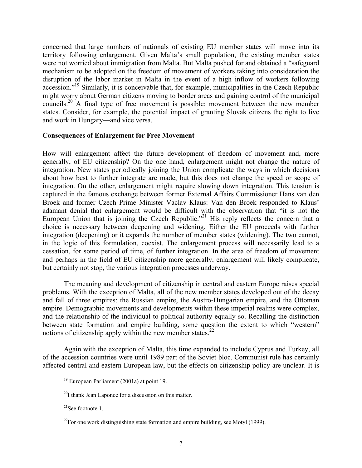concerned that large numbers of nationals of existing EU member states will move into its territory following enlargement. Given Malta's small population, the existing member states were not worried about immigration from Malta. But Malta pushed for and obtained a "safeguard mechanism to be adopted on the freedom of movement of workers taking into consideration the disruption of the labor market in Malta in the event of a high inflow of workers following accession.["19](#page-9-0) Similarly, it is conceivable that, for example, municipalities in the Czech Republic might worry about German citizens moving to border areas and gaining control of the municipal councils[.20](#page-9-1) A final type of free movement is possible: movement between the new member states. Consider, for example, the potential impact of granting Slovak citizens the right to live and work in Hungary—and vice versa.

### **Consequences of Enlargement for Free Movement**

How will enlargement affect the future development of freedom of movement and, more generally, of EU citizenship? On the one hand, enlargement might not change the nature of integration. New states periodically joining the Union complicate the ways in which decisions about how best to further integrate are made, but this does not change the speed or scope of integration. On the other, enlargement might require slowing down integration. This tension is captured in the famous exchange between former External Affairs Commissioner Hans van den Broek and former Czech Prime Minister Vaclav Klaus: Van den Broek responded to Klaus' adamant denial that enlargement would be difficult with the observation that "it is not the European Union that is joining the Czech Republic."<sup>21</sup> His reply reflects the concern that a choice is necessary between deepening and widening. Either the EU proceeds with further integration (deepening) or it expands the number of member states (widening). The two cannot, in the logic of this formulation, coexist. The enlargement process will necessarily lead to a cessation, for some period of time, of further integration. In the area of freedom of movement and perhaps in the field of EU citizenship more generally, enlargement will likely complicate, but certainly not stop, the various integration processes underway.

The meaning and development of citizenship in central and eastern Europe raises special problems. With the exception of Malta, all of the new member states developed out of the decay and fall of three empires: the Russian empire, the Austro-Hungarian empire, and the Ottoman empire. Demographic movements and developments within these imperial realms were complex, and the relationship of the individual to political authority equally so. Recalling the distinction between state formation and empire building, some question the extent to which "western" notions of citizenship apply within the new member states. $22$ 

Again with the exception of Malta, this time expanded to include Cyprus and Turkey, all of the accession countries were until 1989 part of the Soviet bloc. Communist rule has certainly affected central and eastern European law, but the effects on citizenship policy are unclear. It is

<span id="page-9-0"></span> <sup>19</sup> European Parliament (2001a) at point 19.

<span id="page-9-1"></span> $^{20}$ I thank Jean Laponce for a discussion on this matter.

<span id="page-9-2"></span> $21$ See footnote 1.

<span id="page-9-3"></span> $^{22}$ For one work distinguishing state formation and empire building, see Motyl (1999).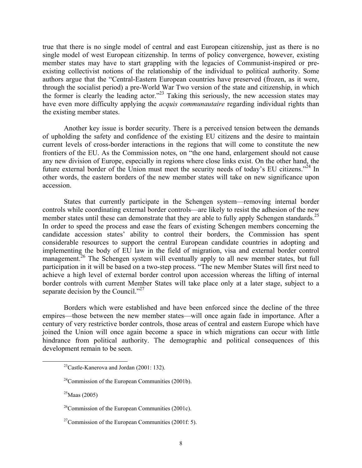true that there is no single model of central and east European citizenship, just as there is no single model of west European citizenship. In terms of policy convergence, however, existing member states may have to start grappling with the legacies of Communist-inspired or preexisting collectivist notions of the relationship of the individual to political authority. Some authors argue that the "Central-Eastern European countries have preserved (frozen, as it were, through the socialist period) a pre-World War Two version of the state and citizenship, in which the former is clearly the leading actor."<sup>23</sup> Taking this seriously, the new accession states may have even more difficulty applying the *acquis communautaire* regarding individual rights than the existing member states.

Another key issue is border security. There is a perceived tension between the demands of upholding the safety and confidence of the existing EU citizens and the desire to maintain current levels of cross-border interactions in the regions that will come to constitute the new frontiers of the EU. As the Commission notes, on "the one hand, enlargement should not cause any new division of Europe, especially in regions where close links exist. On the other hand, the future external border of the Union must meet the security needs of today's EU citizens."<sup>24</sup> In other words, the eastern borders of the new member states will take on new significance upon accession.

States that currently participate in the Schengen system—removing internal border controls while coordinating external border controls—are likely to resist the adhesion of the new member states until these can demonstrate that they are able to fully apply Schengen standards.<sup>25</sup> In order to speed the process and ease the fears of existing Schengen members concerning the candidate accession states' ability to control their borders, the Commission has spent considerable resources to support the central European candidate countries in adopting and implementing the body of EU law in the field of migration, visa and external border control management.<sup>26</sup> The Schengen system will eventually apply to all new member states, but full participation in it will be based on a two-step process. "The new Member States will first need to achieve a high level of external border control upon accession whereas the lifting of internal border controls with current Member States will take place only at a later stage, subject to a separate decision by the Council."<sup>27</sup>

Borders which were established and have been enforced since the decline of the three empires—those between the new member states—will once again fade in importance. After a century of very restrictive border controls, those areas of central and eastern Europe which have joined the Union will once again become a space in which migrations can occur with little hindrance from political authority. The demographic and political consequences of this development remain to be seen.

<span id="page-10-0"></span><sup>&</sup>lt;sup>23</sup>Castle-Kanerova and Jordan (2001: 132).

<span id="page-10-1"></span> <sup>24</sup>Commission of the European Communities (2001b).

<span id="page-10-2"></span> $^{25}$ Maas (2005)

<span id="page-10-3"></span> $26$ Commission of the European Communities (2001c).

<span id="page-10-4"></span><sup>&</sup>lt;sup>27</sup>Commission of the European Communities (2001f: 5).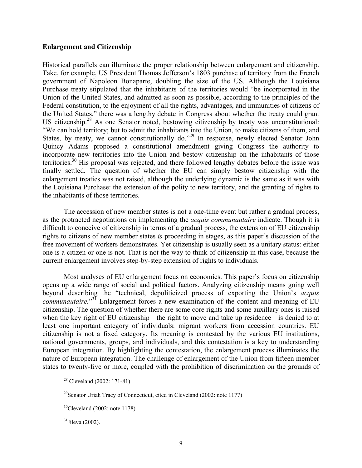### **Enlargement and Citizenship**

Historical parallels can illuminate the proper relationship between enlargement and citizenship. Take, for example, US President Thomas Jefferson's 1803 purchase of territory from the French government of Napoleon Bonaparte, doubling the size of the US. Although the Louisiana Purchase treaty stipulated that the inhabitants of the territories would "be incorporated in the Union of the United States, and admitted as soon as possible, according to the principles of the Federal constitution, to the enjoyment of all the rights, advantages, and immunities of citizens of the United States," there was a lengthy debate in Congress about whether the treaty could grant US citizenship.<sup>28</sup> As one Senator noted, bestowing citizenship by treaty was unconstitutional: "We can hold territory; but to admit the inhabitants into the Union, to make citizens of them, and States, by treaty, we cannot constitutionally do."<sup>29</sup> In response, newly elected Senator John Quincy Adams proposed a constitutional amendment giving Congress the authority to incorporate new territories into the Union and bestow citizenship on the inhabitants of those territories.<sup>30</sup> His proposal was rejected, and there followed lengthy debates before the issue was finally settled. The question of whether the EU can simply bestow citizenship with the enlargement treaties was not raised, although the underlying dynamic is the same as it was with the Louisiana Purchase: the extension of the polity to new territory, and the granting of rights to the inhabitants of those territories.

The accession of new member states is not a one-time event but rather a gradual process, as the protracted negotiations on implementing the *acquis communautaire* indicate. Though it is difficult to conceive of citizenship in terms of a gradual process, the extension of EU citizenship rights to citizens of new member states *is* proceeding in stages, as this paper's discussion of the free movement of workers demonstrates. Yet citizenship is usually seen as a unitary status: either one is a citizen or one is not. That is not the way to think of citizenship in this case, because the current enlargement involves step-by-step extension of rights to individuals.

Most analyses of EU enlargement focus on economics. This paper's focus on citizenship opens up a wide range of social and political factors. Analyzing citizenship means going well beyond describing the "technical, depoliticized process of exporting the Union's *acquis communautaire.*" [31](#page-11-3) Enlargement forces a new examination of the content and meaning of EU citizenship. The question of whether there are some core rights and some auxillary ones is raised when the key right of EU citizenship—the right to move and take up residence—is denied to at least one important category of individuals: migrant workers from accession countries. EU citizenship is not a fixed category. Its meaning is contested by the various EU institutions, national governments, groups, and individuals, and this contestation is a key to understanding European integration. By highlighting the contestation, the enlargement process illuminates the nature of European integration. The challenge of enlargement of the Union from fifteen member states to twenty-five or more, coupled with the prohibition of discrimination on the grounds of

<span id="page-11-0"></span> <sup>28</sup> Cleveland (2002: 171-81)

<span id="page-11-2"></span><span id="page-11-1"></span><sup>&</sup>lt;sup>29</sup>Senator Uriah Tracy of Connecticut, cited in Cleveland (2002: note 1177)

 $30$ Cleveland (2002: note 1178)

<span id="page-11-3"></span> $31$ Jileva (2002).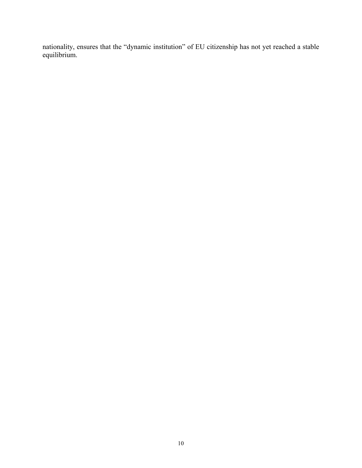nationality, ensures that the "dynamic institution" of EU citizenship has not yet reached a stable equilibrium.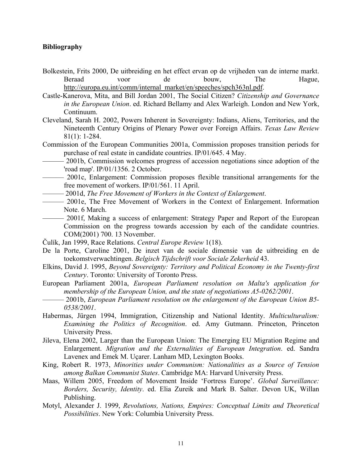### **Bibliography**

- Bolkestein, Frits 2000, De uitbreiding en het effect ervan op de vrijheden van de interne markt. Beraad voor de bouw, The Hague, [http://europa.eu.int/comm/internal\\_market/en/speeches/spch363nl.pdf](http://europa.eu.int/comm/internal_market/en/speeches/spch363nl.pdf).
- Castle-Kanerova, Mita, and Bill Jordan 2001, The Social Citizen? *Citizenship and Governance in the European Union*. ed. Richard Bellamy and Alex Warleigh. London and New York, Continuum.
- Cleveland, Sarah H. 2002, Powers Inherent in Sovereignty: Indians, Aliens, Territories, and the Nineteenth Century Origins of Plenary Power over Foreign Affairs. *Texas Law Review* 81(1): 1-284.
- Commission of the European Communities 2001a, Commission proposes transition periods for purchase of real estate in candidate countries. IP/01/645. 4 May.
- 2001b, Commission welcomes progress of accession negotiations since adoption of the 'road map'. IP/01/1356. 2 October.
- ——— 2001c, Enlargement: Commission proposes flexible transitional arrangements for the free movement of workers. IP/01/561. 11 April.
	- ——— 2001d, *The Free Movement of Workers in the Context of Enlargement*.
	- ——— 2001e, The Free Movement of Workers in the Context of Enlargement. Information Note. 6 March.
- —— 2001f, Making a success of enlargement: Strategy Paper and Report of the European Commission on the progress towards accession by each of the candidate countries. COM(2001) 700. 13 November.
- Čulík, Jan 1999, Race Relations. *Central Europe Review* 1(18).
- De la Porte, Caroline 2001, De inzet van de sociale dimensie van de uitbreiding en de toekomstverwachtingen. *Belgisch Tijdschrift voor Sociale Zekerheid* 43.
- Elkins, David J. 1995, *Beyond Sovereignty: Territory and Political Economy in the Twenty-first Century*. Toronto: University of Toronto Press.
- European Parliament 2001a, *European Parliament resolution on Malta's application for membership of the European Union, and the state of negotiations A5-0262/2001*.
- ——— 2001b, *European Parliament resolution on the enlargement of the European Union B5- 0538/2001*.
- Habermas, Jürgen 1994, Immigration, Citizenship and National Identity. *Multiculturalism: Examining the Politics of Recognition*. ed. Amy Gutmann. Princeton, Princeton University Press.
- Jileva, Elena 2002, Larger than the European Union: The Emerging EU Migration Regime and Enlargement. *Migration and the Externalities of European Integration*. ed. Sandra Lavenex and Emek M. Uçarer. Lanham MD, Lexington Books.
- King, Robert R. 1973, *Minorities under Communism: Nationalities as a Source of Tension among Balkan Communist States*. Cambridge MA: Harvard University Press.
- Maas, Willem 2005, Freedom of Movement Inside 'Fortress Europe'. *Global Surveillance: Borders, Security, Identity*. ed. Elia Zureik and Mark B. Salter. Devon UK, Willan Publishing.
- Motyl, Alexander J. 1999, *Revolutions, Nations, Empires: Conceptual Limits and Theoretical Possibilities*. New York: Columbia University Press.